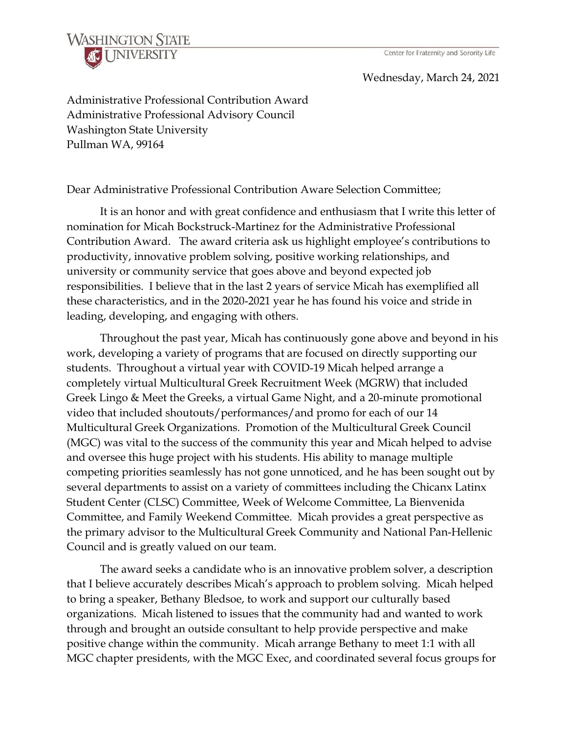

## Wednesday, March 24, 2021

Administrative Professional Contribution Award Administrative Professional Advisory Council Washington State University Pullman WA, 99164

Dear Administrative Professional Contribution Aware Selection Committee;

It is an honor and with great confidence and enthusiasm that I write this letter of nomination for Micah Bockstruck-Martinez for the Administrative Professional Contribution Award. The award criteria ask us highlight employee's contributions to productivity, innovative problem solving, positive working relationships, and university or community service that goes above and beyond expected job responsibilities. I believe that in the last 2 years of service Micah has exemplified all these characteristics, and in the 2020-2021 year he has found his voice and stride in leading, developing, and engaging with others.

Throughout the past year, Micah has continuously gone above and beyond in his work, developing a variety of programs that are focused on directly supporting our students. Throughout a virtual year with COVID-19 Micah helped arrange a completely virtual Multicultural Greek Recruitment Week (MGRW) that included Greek Lingo & Meet the Greeks, a virtual Game Night, and a 20-minute promotional video that included shoutouts/performances/and promo for each of our 14 Multicultural Greek Organizations. Promotion of the Multicultural Greek Council (MGC) was vital to the success of the community this year and Micah helped to advise and oversee this huge project with his students. His ability to manage multiple competing priorities seamlessly has not gone unnoticed, and he has been sought out by several departments to assist on a variety of committees including the Chicanx Latinx Student Center (CLSC) Committee, Week of Welcome Committee, La Bienvenida Committee, and Family Weekend Committee. Micah provides a great perspective as the primary advisor to the Multicultural Greek Community and National Pan-Hellenic Council and is greatly valued on our team.

The award seeks a candidate who is an innovative problem solver, a description that I believe accurately describes Micah's approach to problem solving. Micah helped to bring a speaker, Bethany Bledsoe, to work and support our culturally based organizations. Micah listened to issues that the community had and wanted to work through and brought an outside consultant to help provide perspective and make positive change within the community. Micah arrange Bethany to meet 1:1 with all MGC chapter presidents, with the MGC Exec, and coordinated several focus groups for